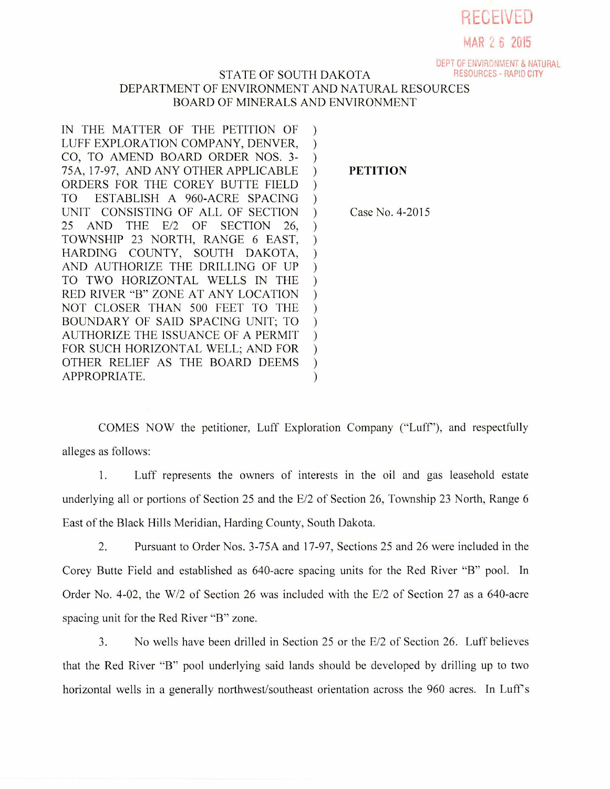

MAR 2 6 2U15

DEPT OF ENVIRONMENT & NATURAL

## STATE OF SOUTH DAKOTA DEPARTMENT OF ENVIRONMENT AND NATURAL RESOURCES BOARD OF MINERALS AND ENVIRONMENT

IN THE MATTER OF THE PETITION OF  $\mathcal{L}$ LUFF EXPLORATION COMPANY, DENVER,  $\mathcal{L}$ CO, TO AMEND BOARD ORDER NOS. 3-  $\mathcal{L}$ 75A, 17-97, AND ANY OTHER APPLICABLE  $\mathcal{L}$ ORDERS FOR THE COREY BUTTE FIELD  $\mathcal{L}$ TO ESTABLISH A 960-ACRE SPACING  $\mathcal{L}$ UNIT CONSISTING OF ALL OF SECTION  $\mathcal{L}$ 25 AND THE E/2 OF SECTION 26,  $\mathcal{L}$ TOWNSHIP 23 NORTH, RANGE 6 EAST,  $\mathcal{L}$ HARDING COUNTY, SOUTH DAKOTA,  $\mathcal{E}$ AND AUTHORIZE THE DRILLING OF UP  $\mathcal{E}$ TO TWO HORIZONTAL WELLS IN THE  $\mathcal{E}$ RED RIVER "B" ZONE AT ANY LOCATION  $\mathcal{L}$ NOT CLOSER THAN 500 FEET TO THE  $\mathcal{E}$ BOUNDARY OF SAID SPACING UNIT; TO  $\mathcal{L}$ AUTHORIZE THE ISSUANCE OF A PERMIT  $\mathcal{L}$ FOR SUCH HORIZONTAL WELL; AND FOR  $\mathcal{L}$ OTHER RELIEF AS THE BOARD DEEMS  $\mathcal{L}$ APPROPRIATE.  $\mathcal{E}$ 

**PETITION** 

Case No. 4-2015

COMES NOW the petitioner, Luff Exploration Company ("Luff'), and respectfully alleges as follows:

1. Luff represents the owners of interests in the oil and gas leasehold estate underlying all or portions of Section 25 and the E/2 of Section 26, Township 23 North, Range 6 East of the Black Hills Meridian, Harding County, South Dakota.

2. Pursuant to Order Nos. 3-75A and 17-97, Sections 25 and 26 were included in the Corey Butte Field and established as 640-acre spacing units for the Red River "B" pool. In Order No. 4-02, the W/2 of Section 26 was included with the E/2 of Section 27 as a 640-acre spacing unit for the Red River "B" zone.

3. No wells have been drilled in Section 25 or the E/2 of Section 26. Luff believes that the Red River "B" pool underlying said lands should be developed by drilling up to two horizontal wells in a generally northwest/southeast orientation across the 960 acres. In Luff's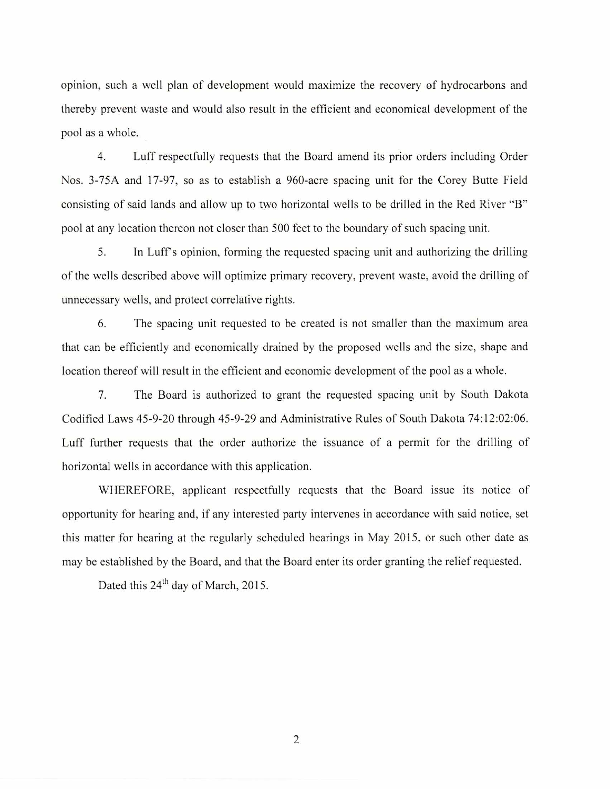opinion, such a well plan of development would maximize the recovery of hydrocarbons and thereby prevent waste and would also result in the efficient and economical development of the pool as a whole.

4. Luff respectfully requests that the Board amend its prior orders including Order Nos. 3-75A and 17-97, so as to establish a 960-acre spacing unit for the Corey Butte Field consisting of said lands and allow up to two horizontal wells to be drilled in the Red River "B" pool at any location thereon not closer than 500 feet to the boundary of such spacing unit.

5. In Luff s opinion, forming the requested spacing unit and authorizing the drilling of the wells described above will optimize primary recovery, prevent waste, avoid the drilling of unnecessary wells, and protect correlative rights.

6. The spacing unit requested to be created is not smaller than the maximum area that can be efficiently and economically drained by the proposed wells and the size, shape and location thereof will result in the efficient and economic development of the pool as a whole.

7. The Board is authorized to grant the requested spacing unit by South Dakota Codified Laws 45-9-20 through 45-9-29 and Administrative Rules of South Dakota 74:12:02:06. Luff further requests that the order authorize the issuance of a permit for the drilling of horizontal wells in accordance with this application.

WHEREFORE, applicant respectfully requests that the Board issue its notice of opportunity for hearing and, if any interested party intervenes in accordance with said notice, set this matter for hearing at the regularly scheduled hearings in May 2015, or such other date as may be established by the Board, and that the Board enter its order granting the relief requested.

Dated this 24<sup>th</sup> day of March, 2015.

2